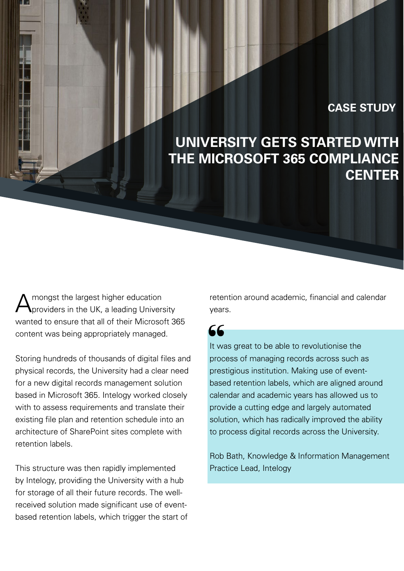#### **CASE STUDY**

# **UNIVERSITY GETS STARTED WITH THE MICROSOFT 365 COMPLIANCE CENTER**

mongst the largest higher education providers in the UK, a leading University wanted to ensure that all of their Microsoft 365 content was being appropriately managed.

Storing hundreds of thousands of digital files and physical records, the University had a clear need for a new digital records management solution based in Microsoft 365. Intelogy worked closely with to assess requirements and translate their existing file plan and retention schedule into an architecture of SharePoint sites complete with retention labels.

This structure was then rapidly implemented by Intelogy, providing the University with a hub for storage of all their future records. The wellreceived solution made significant use of eventbased retention labels, which trigger the start of retention around academic, financial and calendar years.

# 66

It was great to be able to revolutionise the process of managing records across such as prestigious institution. Making use of eventbased retention labels, which are aligned around calendar and academic years has allowed us to provide a cutting edge and largely automated solution, which has radically improved the ability to process digital records across the University.

Rob Bath, Knowledge & Information Management Practice Lead, Intelogy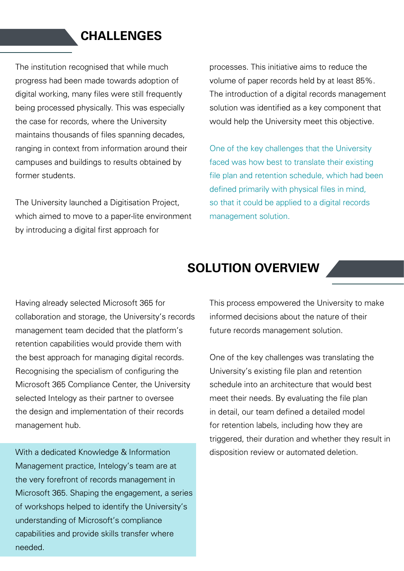### **CHALLENGES**

The institution recognised that while much progress had been made towards adoption of digital working, many files were still frequently being processed physically. This was especially the case for records, where the University maintains thousands of files spanning decades, ranging in context from information around their campuses and buildings to results obtained by former students.

The University launched a Digitisation Project, which aimed to move to a paper-lite environment by introducing a digital first approach for

processes. This initiative aims to reduce the volume of paper records held by at least 85%. The introduction of a digital records management solution was identified as a key component that would help the University meet this objective.

One of the key challenges that the University faced was how best to translate their existing file plan and retention schedule, which had been defined primarily with physical files in mind, so that it could be applied to a digital records management solution.

#### **SOLUTION OVERVIEW**

Having already selected Microsoft 365 for collaboration and storage, the University's records management team decided that the platform's retention capabilities would provide them with the best approach for managing digital records. Recognising the specialism of configuring the Microsoft 365 Compliance Center, the University selected Intelogy as their partner to oversee the design and implementation of their records management hub.

With a dedicated Knowledge & Information Management practice, Intelogy's team are at the very forefront of records management in Microsoft 365. Shaping the engagement, a series of workshops helped to identify the University's understanding of Microsoft's compliance capabilities and provide skills transfer where needed.

This process empowered the University to make informed decisions about the nature of their future records management solution.

One of the key challenges was translating the University's existing file plan and retention schedule into an architecture that would best meet their needs. By evaluating the file plan in detail, our team defined a detailed model for retention labels, including how they are triggered, their duration and whether they result in disposition review or automated deletion.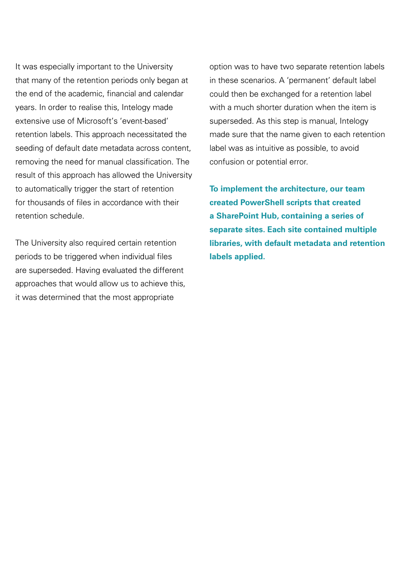It was especially important to the University that many of the retention periods only began at the end of the academic, financial and calendar years. In order to realise this, Intelogy made extensive use of Microsoft's 'event-based' retention labels. This approach necessitated the seeding of default date metadata across content, removing the need for manual classification. The result of this approach has allowed the University to automatically trigger the start of retention for thousands of files in accordance with their retention schedule.

The University also required certain retention periods to be triggered when individual files are superseded. Having evaluated the different approaches that would allow us to achieve this, it was determined that the most appropriate

option was to have two separate retention labels in these scenarios. A 'permanent' default label could then be exchanged for a retention label with a much shorter duration when the item is superseded. As this step is manual, Intelogy made sure that the name given to each retention label was as intuitive as possible, to avoid confusion or potential error.

**To implement the architecture, our team created PowerShell scripts that created a SharePoint Hub, containing a series of separate sites. Each site contained multiple libraries, with default metadata and retention labels applied.**